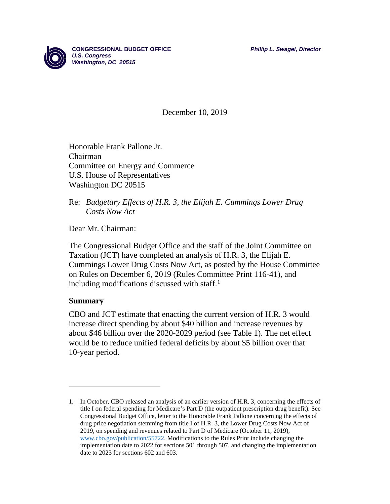

**CONGRESSIONAL BUDGET OFFICE** *Phillip L. Swagel, Director U.S. Congress Washington, DC 20515*

December 10, 2019

Honorable Frank Pallone Jr. Chairman Committee on Energy and Commerce U.S. House of Representatives Washington DC 20515

#### Re: *Budgetary Effects of H.R. 3, the Elijah E. Cummings Lower Drug Costs Now Act*

Dear Mr. Chairman:

The Congressional Budget Office and the staff of the Joint Committee on Taxation (JCT) have completed an analysis of H.R. 3, the Elijah E. Cummings Lower Drug Costs Now Act, as posted by the House Committee on Rules on December 6, 2019 (Rules Committee Print 116-41), and including modifications discussed with staff. [1](#page-0-0)

#### **Summary**

 $\overline{a}$ 

CBO and JCT estimate that enacting the current version of H.R. 3 would increase direct spending by about \$40 billion and increase revenues by about \$46 billion over the 2020-2029 period (see Table 1). The net effect would be to reduce unified federal deficits by about \$5 billion over that 10-year period.

<span id="page-0-0"></span><sup>1.</sup> In October, CBO released an analysis of an earlier version of H.R. 3, concerning the effects of title I on federal spending for Medicare's Part D (the outpatient prescription drug benefit). See Congressional Budget Office, letter to the Honorable Frank Pallone concerning the effects of drug price negotiation stemming from title I of H.R. 3, the Lower Drug Costs Now Act of 2019, on spending and revenues related to Part D of Medicare (October 11, 2019), [www.cbo.gov/publication/55722.](https://www.cbo.gov/publication/55722) Modifications to the Rules Print include changing the implementation date to 2022 for sections 501 through 507, and changing the implementation date to 2023 for sections 602 and 603.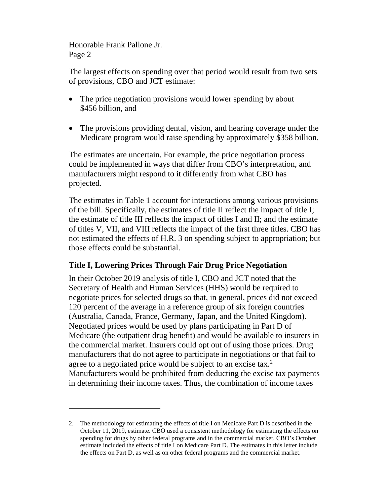$\overline{a}$ 

The largest effects on spending over that period would result from two sets of provisions, CBO and JCT estimate:

- The price negotiation provisions would lower spending by about \$456 billion, and
- The provisions providing dental, vision, and hearing coverage under the Medicare program would raise spending by approximately \$358 billion.

The estimates are uncertain. For example, the price negotiation process could be implemented in ways that differ from CBO's interpretation, and manufacturers might respond to it differently from what CBO has projected.

The estimates in Table 1 account for interactions among various provisions of the bill. Specifically, the estimates of title II reflect the impact of title I; the estimate of title III reflects the impact of titles I and II; and the estimate of titles V, VII, and VIII reflects the impact of the first three titles. CBO has not estimated the effects of H.R. 3 on spending subject to appropriation; but those effects could be substantial.

# **Title I, Lowering Prices Through Fair Drug Price Negotiation**

In their October 2019 analysis of title I, CBO and JCT noted that the Secretary of Health and Human Services (HHS) would be required to negotiate prices for selected drugs so that, in general, prices did not exceed 120 percent of the average in a reference group of six foreign countries (Australia, Canada, France, Germany, Japan, and the United Kingdom). Negotiated prices would be used by plans participating in Part D of Medicare (the outpatient drug benefit) and would be available to insurers in the commercial market. Insurers could opt out of using those prices. Drug manufacturers that do not agree to participate in negotiations or that fail to agree to a negotiated price would be subject to an excise tax.<sup>[2](#page-1-0)</sup> Manufacturers would be prohibited from deducting the excise tax payments in determining their income taxes. Thus, the combination of income taxes

<span id="page-1-0"></span><sup>2.</sup> The methodology for estimating the effects of title I on Medicare Part D is described in the October 11, 2019, estimate. CBO used a consistent methodology for estimating the effects on spending for drugs by other federal programs and in the commercial market. CBO's October estimate included the effects of title I on Medicare Part D. The estimates in this letter include the effects on Part D, as well as on other federal programs and the commercial market.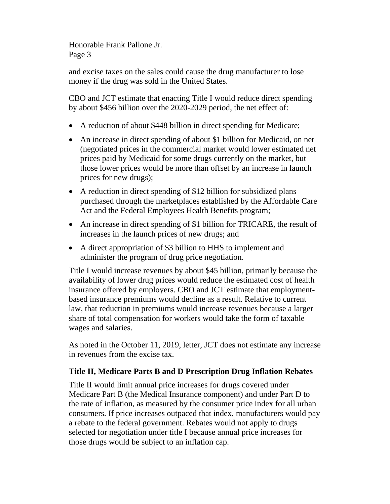and excise taxes on the sales could cause the drug manufacturer to lose money if the drug was sold in the United States.

CBO and JCT estimate that enacting Title I would reduce direct spending by about \$456 billion over the 2020-2029 period, the net effect of:

- A reduction of about \$448 billion in direct spending for Medicare;
- An increase in direct spending of about \$1 billion for Medicaid, on net (negotiated prices in the commercial market would lower estimated net prices paid by Medicaid for some drugs currently on the market, but those lower prices would be more than offset by an increase in launch prices for new drugs);
- A reduction in direct spending of \$12 billion for subsidized plans purchased through the marketplaces established by the Affordable Care Act and the Federal Employees Health Benefits program;
- An increase in direct spending of \$1 billion for TRICARE, the result of increases in the launch prices of new drugs; and
- A direct appropriation of \$3 billion to HHS to implement and administer the program of drug price negotiation.

Title I would increase revenues by about \$45 billion, primarily because the availability of lower drug prices would reduce the estimated cost of health insurance offered by employers. CBO and JCT estimate that employmentbased insurance premiums would decline as a result. Relative to current law, that reduction in premiums would increase revenues because a larger share of total compensation for workers would take the form of taxable wages and salaries.

As noted in the October 11, 2019, letter, JCT does not estimate any increase in revenues from the excise tax.

## **Title II, Medicare Parts B and D Prescription Drug Inflation Rebates**

Title II would limit annual price increases for drugs covered under Medicare Part B (the Medical Insurance component) and under Part D to the rate of inflation, as measured by the consumer price index for all urban consumers. If price increases outpaced that index, manufacturers would pay a rebate to the federal government. Rebates would not apply to drugs selected for negotiation under title I because annual price increases for those drugs would be subject to an inflation cap.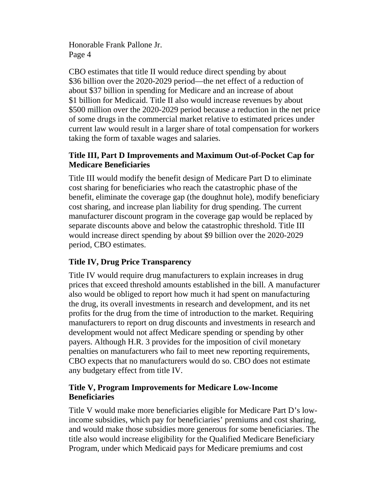CBO estimates that title II would reduce direct spending by about \$36 billion over the 2020-2029 period—the net effect of a reduction of about \$37 billion in spending for Medicare and an increase of about \$1 billion for Medicaid. Title II also would increase revenues by about \$500 million over the 2020-2029 period because a reduction in the net price of some drugs in the commercial market relative to estimated prices under current law would result in a larger share of total compensation for workers taking the form of taxable wages and salaries.

## **Title III, Part D Improvements and Maximum Out-of-Pocket Cap for Medicare Beneficiaries**

Title III would modify the benefit design of Medicare Part D to eliminate cost sharing for beneficiaries who reach the catastrophic phase of the benefit, eliminate the coverage gap (the doughnut hole), modify beneficiary cost sharing, and increase plan liability for drug spending. The current manufacturer discount program in the coverage gap would be replaced by separate discounts above and below the catastrophic threshold. Title III would increase direct spending by about \$9 billion over the 2020-2029 period, CBO estimates.

# **Title IV, Drug Price Transparency**

Title IV would require drug manufacturers to explain increases in drug prices that exceed threshold amounts established in the bill. A manufacturer also would be obliged to report how much it had spent on manufacturing the drug, its overall investments in research and development, and its net profits for the drug from the time of introduction to the market. Requiring manufacturers to report on drug discounts and investments in research and development would not affect Medicare spending or spending by other payers. Although H.R. 3 provides for the imposition of civil monetary penalties on manufacturers who fail to meet new reporting requirements, CBO expects that no manufacturers would do so. CBO does not estimate any budgetary effect from title IV.

# **Title V, Program Improvements for Medicare Low-Income Beneficiaries**

Title V would make more beneficiaries eligible for Medicare Part D's lowincome subsidies, which pay for beneficiaries' premiums and cost sharing, and would make those subsidies more generous for some beneficiaries. The title also would increase eligibility for the Qualified Medicare Beneficiary Program, under which Medicaid pays for Medicare premiums and cost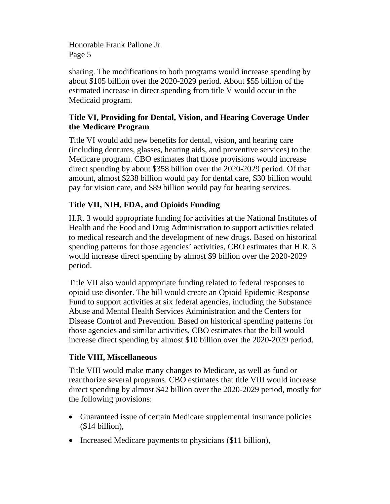sharing. The modifications to both programs would increase spending by about \$105 billion over the 2020-2029 period. About \$55 billion of the estimated increase in direct spending from title V would occur in the Medicaid program.

# **Title VI, Providing for Dental, Vision, and Hearing Coverage Under the Medicare Program**

Title VI would add new benefits for dental, vision, and hearing care (including dentures, glasses, hearing aids, and preventive services) to the Medicare program. CBO estimates that those provisions would increase direct spending by about \$358 billion over the 2020-2029 period. Of that amount, almost \$238 billion would pay for dental care, \$30 billion would pay for vision care, and \$89 billion would pay for hearing services.

# **Title VII, NIH, FDA, and Opioids Funding**

H.R. 3 would appropriate funding for activities at the National Institutes of Health and the Food and Drug Administration to support activities related to medical research and the development of new drugs. Based on historical spending patterns for those agencies' activities, CBO estimates that H.R. 3 would increase direct spending by almost \$9 billion over the 2020-2029 period.

Title VII also would appropriate funding related to federal responses to opioid use disorder. The bill would create an Opioid Epidemic Response Fund to support activities at six federal agencies, including the Substance Abuse and Mental Health Services Administration and the Centers for Disease Control and Prevention. Based on historical spending patterns for those agencies and similar activities, CBO estimates that the bill would increase direct spending by almost \$10 billion over the 2020-2029 period.

# **Title VIII, Miscellaneous**

Title VIII would make many changes to Medicare, as well as fund or reauthorize several programs. CBO estimates that title VIII would increase direct spending by almost \$42 billion over the 2020-2029 period, mostly for the following provisions:

- Guaranteed issue of certain Medicare supplemental insurance policies (\$14 billion),
- Increased Medicare payments to physicians (\$11 billion),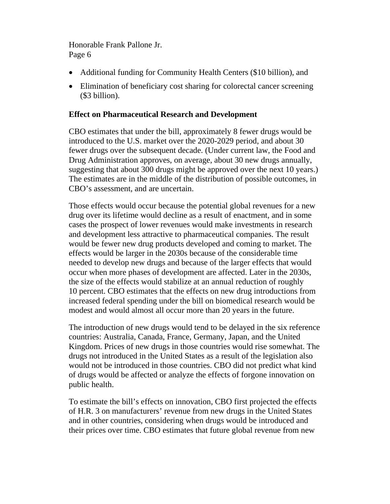- Additional funding for Community Health Centers (\$10 billion), and
- Elimination of beneficiary cost sharing for colorectal cancer screening (\$3 billion).

#### **Effect on Pharmaceutical Research and Development**

CBO estimates that under the bill, approximately 8 fewer drugs would be introduced to the U.S. market over the 2020-2029 period, and about 30 fewer drugs over the subsequent decade. (Under current law, the Food and Drug Administration approves, on average, about 30 new drugs annually, suggesting that about 300 drugs might be approved over the next 10 years.) The estimates are in the middle of the distribution of possible outcomes, in CBO's assessment, and are uncertain.

Those effects would occur because the potential global revenues for a new drug over its lifetime would decline as a result of enactment, and in some cases the prospect of lower revenues would make investments in research and development less attractive to pharmaceutical companies. The result would be fewer new drug products developed and coming to market. The effects would be larger in the 2030s because of the considerable time needed to develop new drugs and because of the larger effects that would occur when more phases of development are affected. Later in the 2030s, the size of the effects would stabilize at an annual reduction of roughly 10 percent. CBO estimates that the effects on new drug introductions from increased federal spending under the bill on biomedical research would be modest and would almost all occur more than 20 years in the future.

The introduction of new drugs would tend to be delayed in the six reference countries: Australia, Canada, France, Germany, Japan, and the United Kingdom. Prices of new drugs in those countries would rise somewhat. The drugs not introduced in the United States as a result of the legislation also would not be introduced in those countries. CBO did not predict what kind of drugs would be affected or analyze the effects of forgone innovation on public health.

To estimate the bill's effects on innovation, CBO first projected the effects of H.R. 3 on manufacturers' revenue from new drugs in the United States and in other countries, considering when drugs would be introduced and their prices over time. CBO estimates that future global revenue from new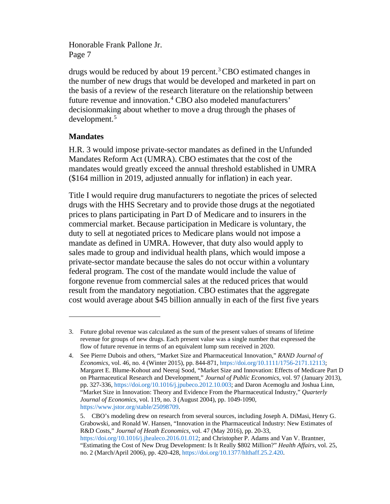drugs would be reduced by about 19 percent.[3](#page-6-0)CBO estimated changes in the number of new drugs that would be developed and marketed in part on the basis of a review of the research literature on the relationship between future revenue and innovation.<sup>[4](#page-6-1)</sup> CBO also modeled manufacturers' decisionmaking about whether to move a drug through the phases of development.[5](#page-6-2)

## **Mandates**

 $\overline{a}$ 

H.R. 3 would impose private-sector mandates as defined in the Unfunded Mandates Reform Act (UMRA). CBO estimates that the cost of the mandates would greatly exceed the annual threshold established in UMRA (\$164 million in 2019, adjusted annually for inflation) in each year.

Title I would require drug manufacturers to negotiate the prices of selected drugs with the HHS Secretary and to provide those drugs at the negotiated prices to plans participating in Part D of Medicare and to insurers in the commercial market. Because participation in Medicare is voluntary, the duty to sell at negotiated prices to Medicare plans would not impose a mandate as defined in UMRA. However, that duty also would apply to sales made to group and individual health plans, which would impose a private-sector mandate because the sales do not occur within a voluntary federal program. The cost of the mandate would include the value of forgone revenue from commercial sales at the reduced prices that would result from the mandatory negotiation. CBO estimates that the aggregate cost would average about \$45 billion annually in each of the first five years

<span id="page-6-0"></span><sup>3.</sup> Future global revenue was calculated as the sum of the present values of streams of lifetime revenue for groups of new drugs. Each present value was a single number that expressed the flow of future revenue in terms of an equivalent lump sum received in 2020.

<span id="page-6-1"></span><sup>4.</sup> See Pierre Dubois and others, "Market Size and Pharmaceutical Innovation," *RAND Journal of Economics*, vol. 46, no. 4 (Winter 2015), pp. 844-871, [https://doi.org/10.1111/1756-2171.12113;](https://doi.org/10.1111/1756-2171.12113) Margaret E. Blume-Kohout and Neeraj Sood, "Market Size and Innovation: Effects of Medicare Part D on Pharmaceutical Research and Development," *Journal of Public Economics*, vol. 97 (January 2013), pp. 327-336, [https://doi.org/10.1016/j.jpubeco.2012.10.003;](https://doi.org/10.1016/j.jpubeco.2012.10.003) and Daron Acemoglu and Joshua Linn, "Market Size in Innovation: Theory and Evidence From the Pharmaceutical Industry," *Quarterly Journal of Economics*, vol. 119, no. 3 (August 2004), pp. 1049-1090, [https://www.jstor.org/stable/25098709.](https://www.jstor.org/stable/25098709)

<span id="page-6-2"></span><sup>5.</sup> CBO's modeling drew on research from several sources, including Joseph A. DiMasi, Henry G. Grabowski, and Ronald W. Hansen, "Innovation in the Pharmaceutical Industry: New Estimates of R&D Costs," *Journal of Heath Economics,* vol. 47 (May 2016), pp. 20-33, [https://doi.org/10.1016/j.jhealeco.2016.01.012;](https://doi.org/10.1016/j.jhealeco.2016.01.012) and Christopher P. Adams and Van V. Brantner, "Estimating the Cost of New Drug Development: Is It Really \$802 Million?" *Health Affairs,* vol. 25, no. 2 (March/April 2006), pp. 420-428, [https://doi.org/10.1377/hlthaff.25.2.420.](https://doi.org/10.1377/hlthaff.25.2.420)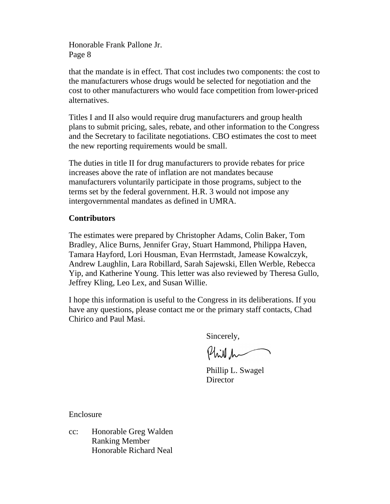that the mandate is in effect. That cost includes two components: the cost to the manufacturers whose drugs would be selected for negotiation and the cost to other manufacturers who would face competition from lower-priced alternatives.

Titles I and II also would require drug manufacturers and group health plans to submit pricing, sales, rebate, and other information to the Congress and the Secretary to facilitate negotiations. CBO estimates the cost to meet the new reporting requirements would be small.

The duties in title II for drug manufacturers to provide rebates for price increases above the rate of inflation are not mandates because manufacturers voluntarily participate in those programs, subject to the terms set by the federal government. H.R. 3 would not impose any intergovernmental mandates as defined in UMRA.

## **Contributors**

The estimates were prepared by Christopher Adams, Colin Baker, Tom Bradley, Alice Burns, Jennifer Gray, Stuart Hammond, Philippa Haven, Tamara Hayford, Lori Housman, Evan Herrnstadt, Jamease Kowalczyk, Andrew Laughlin, Lara Robillard, Sarah Sajewski, Ellen Werble, Rebecca Yip, and Katherine Young. This letter was also reviewed by Theresa Gullo, Jeffrey Kling, Leo Lex, and Susan Willie.

I hope this information is useful to the Congress in its deliberations. If you have any questions, please contact me or the primary staff contacts, Chad Chirico and Paul Masi.

Sincerely,

Phil h

Phillip L. Swagel **Director** 

Enclosure

cc: Honorable Greg Walden Ranking Member Honorable Richard Neal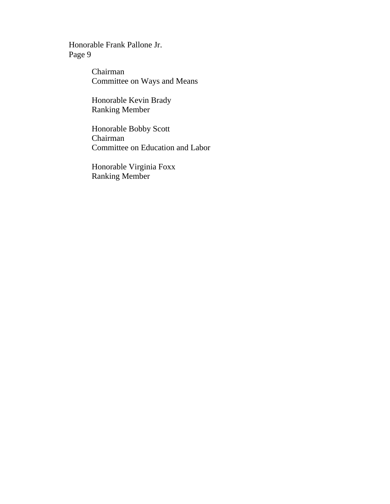> Chairman Committee on Ways and Means

Honorable Kevin Brady Ranking Member

Honorable Bobby Scott Chairman Committee on Education and Labor

Honorable Virginia Foxx Ranking Member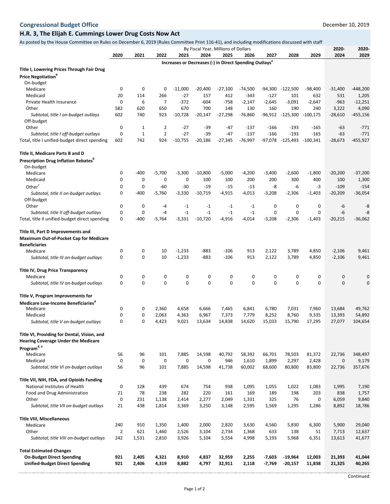#### **H.R. 3, The Elijah E. Cummings Lower Drug Costs Now Act**

As posted by the House Committee on Rules on December 6, 2019 (Rules Committee Print 116-41), and including modifications discussed with staff

|                                                |                |             |                  |               | By Fiscal Year, Millions of Dollars |               |                                                                    |               |              |              | 2020-        | 2020-<br>2029  |
|------------------------------------------------|----------------|-------------|------------------|---------------|-------------------------------------|---------------|--------------------------------------------------------------------|---------------|--------------|--------------|--------------|----------------|
|                                                | 2020           | 2021        | 2022             | 2023          | 2024                                | 2025          | 2026                                                               | 2027          | 2028         | 2029         | 2024         |                |
| Title I, Lowering Prices Through Fair Drug     |                |             |                  |               |                                     |               | Increases or Decreases (-) in Direct Spending Outlays <sup>a</sup> |               |              |              |              |                |
| <b>Price Negotiation</b> b                     |                |             |                  |               |                                     |               |                                                                    |               |              |              |              |                |
| On-budget                                      |                |             |                  |               |                                     |               |                                                                    |               |              |              |              |                |
| Medicare                                       | 0              | 0           | 0                | $-11,000$     | $-20,400$                           | $-27,100$     | $-74,500$                                                          | -94,300       | $-122,500$   | $-98.400$    | $-31,400$    | $-448,200$     |
| Medicaid                                       | 20             | 114         | 266              | $-27$         | 157                                 | 412           | -343                                                               | $-127$        | 101          | 632          | 531          | 1,205          |
| Private Health Insurance                       | 0              | 6           | $\overline{7}$   | $-372$        | $-604$                              | $-758$        | $-2,147$                                                           | $-2,645$      | $-3,091$     | $-2,647$     | $-963$       | $-12,251$      |
| Other                                          | 582            | 620         | 650              | 670           | 700                                 | 148           | 130                                                                | 160           | 190          | 240          | 3,222        | 4,090          |
| Subtotal, title I on-budget outlays            | 602            | 740         | 923              | $-10,728$     | $-20,147$                           | $-27,298$     | $-76,860$                                                          | $-96,912$     | -125,300     | $-100,175$   | $-28,610$    | $-455,156$     |
| Off-budget                                     |                |             |                  |               |                                     |               |                                                                    |               |              |              |              |                |
| Other                                          | 0              | $\mathbf 1$ | $\overline{2}$   | $-27$         | $-39$                               | $-47$         | -137                                                               | $-166$        | $-193$       | $-165$       | -63          | $-771$         |
| Subtotal, title I off-budget outlays           | $\mathbf 0$    | $\mathbf 1$ | $\overline{2}$   | $-27$         | $-39$                               | $-47$         | $-137$                                                             | $-166$        | $-193$       | $-165$       | $-63$        | $-771$         |
| Total, title I unified-budget direct spending  | 602            | 742         | 924              | $-10,755$     | $-20,186$                           | $-27,345$     | $-76,997$                                                          | $-97,078$     | -125,493     | $-100,341$   | $-28,673$    | $-455,927$     |
| Title II, Medicare Parts B and D               |                |             |                  |               |                                     |               |                                                                    |               |              |              |              |                |
| <b>Prescription Drug Inflation Rebates</b>     |                |             |                  |               |                                     |               |                                                                    |               |              |              |              |                |
| On-budget                                      |                |             |                  |               |                                     |               |                                                                    |               |              |              |              |                |
| Medicare                                       | 0              | $-400$      | $-5,700$         | $-3,300$      | $-10,800$                           | $-5,000$      | -4,200                                                             | $-3,400$      | $-2,600$     | $-1,800$     | $-20,200$    | $-37,200$      |
| Medicaid                                       | 0              | 0           | 0                | $\mathbf 0$   | 100                                 | 100           | 200                                                                | 200           | 300          | 400          | 100          | 1,300          |
| Other <sup>c</sup>                             | 0              | 0           | $-60$            | -30           | $-19$                               | $-15$         | -13                                                                | -8            | -6           | $-3$         | $-109$       | $-154$         |
| Subtotal, title II on-budget outlays           | 0              | $-400$      | -5,760           | $-3,330$      | $-10,719$                           | $-4,915$      | $-4,013$                                                           | $-3,208$      | $-2,306$     | $-1,403$     | $-20,209$    | $-36,054$      |
| Off-budget                                     |                |             |                  |               |                                     |               |                                                                    |               |              |              |              |                |
| Other                                          | 0              | 0           | -4               | -1            | $-1$                                | $-1$          | -1                                                                 | 0             | 0            | 0            | -6           | -8             |
| Subtotal, title II off-budget outlays          | 0              | 0           | $-4$             | $-1$          | $-1$                                | $-1$          | $-1$                                                               | 0             | $\mathbf 0$  | 0            | $-6$         | $-8$           |
| Total, title II unified-budget direct spending | 0              | $-400$      | $-5,764$         | $-3,331$      | $-10.720$                           | $-4,916$      | $-4,014$                                                           | $-3,208$      | $-2,306$     | $-1,403$     | $-20,215$    | $-36,062$      |
| Title III, Part D Improvements and             |                |             |                  |               |                                     |               |                                                                    |               |              |              |              |                |
| <b>Maximum Out-of-Pocket Cap for Medicare</b>  |                |             |                  |               |                                     |               |                                                                    |               |              |              |              |                |
| <b>Beneficiaries</b>                           |                |             |                  |               |                                     |               |                                                                    |               |              |              |              |                |
| Medicare                                       | 0              | 0           | 10               | $-1,233$      | $-883$                              | $-106$        | 913                                                                | 2,122         | 3,789        | 4,850        | $-2,106$     | 9,461          |
| Subtotal, title III on-budget outlays          | 0              | 0           | 10               | $-1,233$      | $-883$                              | $-106$        | 913                                                                | 2,122         | 3,789        | 4,850        | $-2,106$     | 9,461          |
|                                                |                |             |                  |               |                                     |               |                                                                    |               |              |              |              |                |
| <b>Title IV, Drug Price Transparency</b>       |                |             |                  |               |                                     |               |                                                                    |               |              |              |              |                |
| Medicare                                       | 0<br>$\Omega$  | 0<br>0      | 0<br>$\mathbf 0$ | 0<br>$\Omega$ | 0<br>$\Omega$                       | 0<br>$\Omega$ | 0<br>$\Omega$                                                      | 0<br>$\Omega$ | 0<br>0       | 0<br>0       | 0<br>0       | 0<br>0         |
| Subtotal, title IV on-budget outlays           |                |             |                  |               |                                     |               |                                                                    |               |              |              |              |                |
| Title V, Program Improvements for              |                |             |                  |               |                                     |               |                                                                    |               |              |              |              |                |
| Medicare Low-Income Beneficiaries <sup>"</sup> |                |             |                  |               |                                     |               |                                                                    |               |              |              |              |                |
| Medicare                                       | 0              | 0           | 2,360            | 4,658         | 6,666                               | 7,465         | 6,841                                                              | 6,780         | 7,031        | 7,960        | 13,684       | 49,762         |
| Medicaid                                       | 0              | 0           | 2,063            | 4,363         | 6,967                               | 7,373         | 7,779                                                              | 8,252         | 8,760        | 9,335        | 13,393       | 54,892         |
| Subtotal, title V on-budget outlays            | 0              | 0           | 4,423            | 9,021         | 13,634                              | 14,838        | 14,620                                                             | 15,033        | 15,790       | 17,295       | 27,077       | 104,654        |
| Title VI, Providing for Dental, Vision, and    |                |             |                  |               |                                     |               |                                                                    |               |              |              |              |                |
| <b>Hearing Coverage Under the Medicare</b>     |                |             |                  |               |                                     |               |                                                                    |               |              |              |              |                |
| Program <sup>d, e</sup>                        |                |             |                  |               |                                     |               |                                                                    |               |              |              |              |                |
| Medicare                                       | 56             | 96          | 101              | 7,885         | 14,598                              | 40,792        | 58,392                                                             | 66,701        | 78,503       | 81,372       | 22,736       | 348,497        |
| Medicaid                                       | 0              | 0           | 0                | 0             | 0                                   | 946           | 1,610                                                              | 1,899         | 2,297        | 2,428        | 0            | 9,179          |
| Subtotal, title VI on-budget outlays           | 56             | 96          | 101              | 7,885         | 14,598                              | 41,738        | 60,002                                                             | 68,600        | 80,800       | 83,800       | 22,736       | 357,676        |
| Title VII, NIH, FDA, and Opioids Funding       |                |             |                  |               |                                     |               |                                                                    |               |              |              |              |                |
| National Institutes of Health                  | 0              | 128         | 439              | 674           | 754                                 | 938           | 1,095                                                              |               |              |              |              |                |
| Food and Drug Administration                   | 21             | 78          | 238              | 282           | 220                                 | 161           | 169                                                                | 1,055<br>189  | 1,022<br>198 | 1,083<br>203 | 1,995<br>838 | 7,190<br>1,757 |
| Other                                          | 0              | 231         | 1,138            | 2,414         | 2,277                               | 2,049         | 1,331                                                              | 325           | 76           | 0            | 6,059        | 9,840          |
| Subtotal, title VII on-budget outlays          | 21             | 438         | 1,814            | 3,369         | 3,250                               | 3,148         | 2,595                                                              | 1,569         | 1,295        | 1,286        | 8,892        | 18,786         |
|                                                |                |             |                  |               |                                     |               |                                                                    |               |              |              |              |                |
| <b>Title VIII, Miscellaneous</b>               |                |             |                  |               |                                     |               |                                                                    |               |              |              |              |                |
| Medicare                                       | 240            | 910         | 1,350            | 1,400         | 2,000                               | 2,820         | 3,630                                                              | 4,560         | 5,830        | 6,300        | 5,900        | 29,040         |
| Other                                          | $\overline{2}$ | 621         | 1,460            | 2,526         | 3,104                               | 2,734         | 1,368                                                              | 633           | 138          | 51           | 7,713        | 12,637         |
| Subtotal, title VIII on-budget outlays         | 242            | 1,531       | 2,810            | 3,926         | 5,104                               | 5,554         | 4,998                                                              | 5,193         | 5,968        | 6,351        | 13,613       | 41,677         |
| <b>Total Estimated Changes</b>                 |                |             |                  |               |                                     |               |                                                                    |               |              |              |              |                |
| <b>On-Budget Direct Spending</b>               | 921            | 2,405       | 4,321            | 8,910         | 4,837                               | 32,959        | 2,255                                                              | $-7,603$      | $-19,964$    | 12,003       | 21,393       | 41,044         |
| <b>Unified-Budget Direct Spending</b>          | 921            | 2,406       | 4,319            | 8,882         | 4,797                               | 32,911        | 2,118                                                              | $-7,769$      | $-20,157$    | 11,838       | 21,325       | 40,265         |
|                                                |                |             |                  |               |                                     |               |                                                                    |               |              |              |              |                |